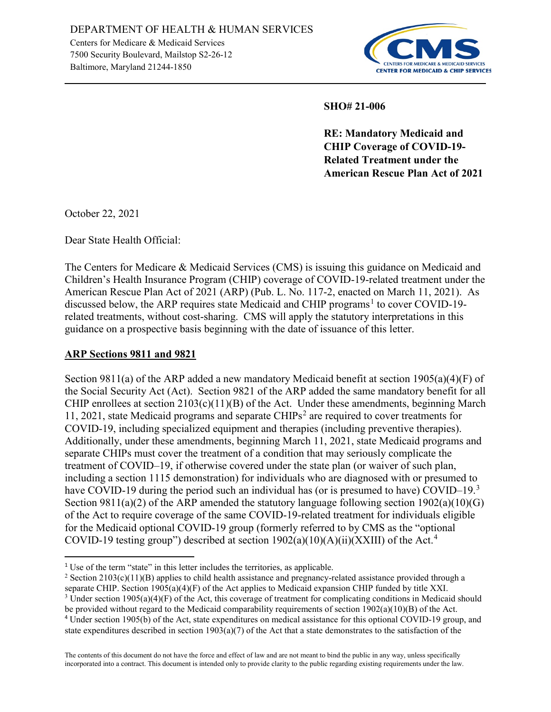

**SHO# 21-006** 

**RE: Mandatory Medicaid and CHIP Coverage of COVID-19- Related Treatment under the American Rescue Plan Act of 2021**

October 22, 2021

 $\overline{a}$ 

Dear State Health Official:

The Centers for Medicare & Medicaid Services (CMS) is issuing this guidance on Medicaid and Children's Health Insurance Program (CHIP) coverage of COVID-19-related treatment under the American Rescue Plan Act of 2021 (ARP) (Pub. L. No. 117-2, enacted on March 11, 2021). As discussed below, the ARP requires state Medicaid and CHIP programs<sup>[1](#page-0-0)</sup> to cover COVID-19related treatments, without cost-sharing. CMS will apply the statutory interpretations in this guidance on a prospective basis beginning with the date of issuance of this letter.

#### **ARP Sections 9811 and 9821**

Section 9811(a) of the ARP added a new mandatory Medicaid benefit at section 1905(a)(4)(F) of the Social Security Act (Act). Section 9821 of the ARP added the same mandatory benefit for all CHIP enrollees at section  $2103(c)(11)(B)$  of the Act. Under these amendments, beginning March 11, [2](#page-0-1)021, state Medicaid programs and separate  $CHIPs<sup>2</sup>$  are required to cover treatments for COVID-19, including specialized equipment and therapies (including preventive therapies). Additionally, under these amendments, beginning March 11, 2021, state Medicaid programs and separate CHIPs must cover the treatment of a condition that may seriously complicate the treatment of COVID–19, if otherwise covered under the state plan (or waiver of such plan, including a section 1115 demonstration) for individuals who are diagnosed with or presumed to have COVID-19 during the period such an individual has (or is presumed to have) COVID-19.<sup>[3](#page-0-2)</sup> Section 9811(a)(2) of the ARP amended the statutory language following section  $1902(a)(10)(G)$ of the Act to require coverage of the same COVID-19-related treatment for individuals eligible for the Medicaid optional COVID-19 group (formerly referred to by CMS as the "optional COVID-19 testing group") described at section  $1902(a)(10)(A)(ii)(XXIII)$  of the Act.<sup>[4](#page-0-3)</sup>

<span id="page-0-0"></span><sup>&</sup>lt;sup>1</sup> Use of the term "state" in this letter includes the territories, as applicable.

<span id="page-0-1"></span><sup>&</sup>lt;sup>2</sup> Section 2103(c)(11)(B) applies to child health assistance and pregnancy-related assistance provided through a separate CHIP. Section 1905(a)(4)(F) of the Act applies to Medicaid expansion CHIP funded by title XXI.

<span id="page-0-3"></span><span id="page-0-2"></span><sup>&</sup>lt;sup>3</sup> Under section 1905(a)(4)(F) of the Act, this coverage of treatment for complicating conditions in Medicaid should be provided without regard to the Medicaid comparability requirements of section  $1902(a)(10)(B)$  of the Act. <sup>4</sup> Under section 1905(b) of the Act, state expenditures on medical assistance for this optional COVID-19 group, and state expenditures described in section  $1903(a)(7)$  of the Act that a state demonstrates to the satisfaction of the

The contents of this document do not have the force and effect of law and are not meant to bind the public in any way, unless specifically incorporated into a contract. This document is intended only to provide clarity to the public regarding existing requirements under the law.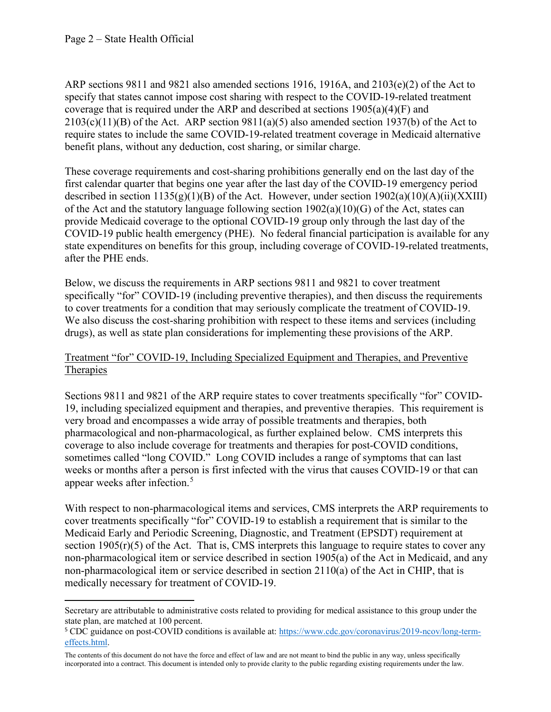l

ARP sections 9811 and 9821 also amended sections 1916, 1916A, and 2103(e)(2) of the Act to specify that states cannot impose cost sharing with respect to the COVID-19-related treatment coverage that is required under the ARP and described at sections  $1905(a)(4)(F)$  and  $2103(c)(11)(B)$  of the Act. ARP section 9811(a)(5) also amended section 1937(b) of the Act to require states to include the same COVID-19-related treatment coverage in Medicaid alternative benefit plans, without any deduction, cost sharing, or similar charge.

These coverage requirements and cost-sharing prohibitions generally end on the last day of the first calendar quarter that begins one year after the last day of the COVID-19 emergency period described in section  $1135(g)(1)(B)$  of the Act. However, under section  $1902(a)(10)(A)(ii)(XXIII)$ of the Act and the statutory language following section  $1902(a)(10)(G)$  of the Act, states can provide Medicaid coverage to the optional COVID-19 group only through the last day of the COVID-19 public health emergency (PHE). No federal financial participation is available for any state expenditures on benefits for this group, including coverage of COVID-19-related treatments, after the PHE ends.

Below, we discuss the requirements in ARP sections 9811 and 9821 to cover treatment specifically "for" COVID-19 (including preventive therapies), and then discuss the requirements to cover treatments for a condition that may seriously complicate the treatment of COVID-19. We also discuss the cost-sharing prohibition with respect to these items and services (including drugs), as well as state plan considerations for implementing these provisions of the ARP.

### Treatment "for" COVID-19, Including Specialized Equipment and Therapies, and Preventive **Therapies**

Sections 9811 and 9821 of the ARP require states to cover treatments specifically "for" COVID-19, including specialized equipment and therapies, and preventive therapies. This requirement is very broad and encompasses a wide array of possible treatments and therapies, both pharmacological and non-pharmacological, as further explained below. CMS interprets this coverage to also include coverage for treatments and therapies for post-COVID conditions, sometimes called "long COVID." Long COVID includes a range of symptoms that can last weeks or months after a person is first infected with the virus that causes COVID-19 or that can appear weeks after infection.[5](#page-1-0)

With respect to non-pharmacological items and services, CMS interprets the ARP requirements to cover treatments specifically "for" COVID-19 to establish a requirement that is similar to the Medicaid Early and Periodic Screening, Diagnostic, and Treatment (EPSDT) requirement at section  $1905(r)(5)$  of the Act. That is, CMS interprets this language to require states to cover any non-pharmacological item or service described in section 1905(a) of the Act in Medicaid, and any non-pharmacological item or service described in section 2110(a) of the Act in CHIP, that is medically necessary for treatment of COVID-19.

Secretary are attributable to administrative costs related to providing for medical assistance to this group under the state plan, are matched at 100 percent.

<span id="page-1-0"></span><sup>5</sup> CDC guidance on post-COVID conditions is available at: [https://www.cdc.gov/coronavirus/2019-ncov/long-term](https://www.cdc.gov/coronavirus/2019-ncov/long-term-effects.html)[effects.html.](https://www.cdc.gov/coronavirus/2019-ncov/long-term-effects.html) 

The contents of this document do not have the force and effect of law and are not meant to bind the public in any way, unless specifically incorporated into a contract. This document is intended only to provide clarity to the public regarding existing requirements under the law.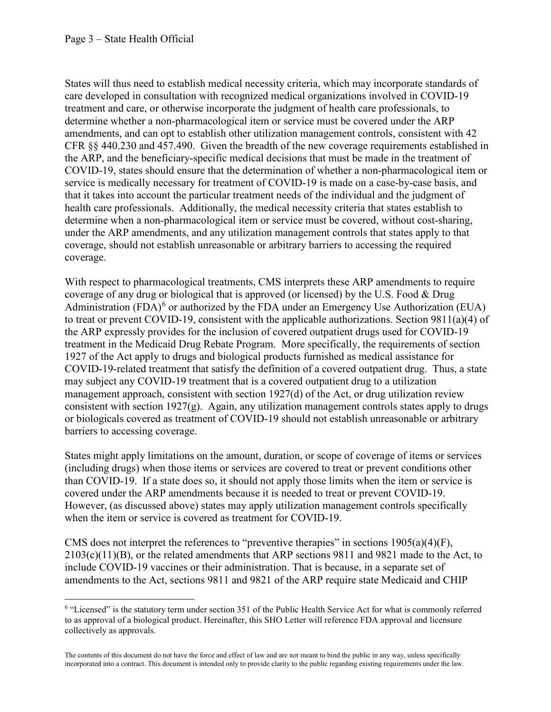States will thus need to establish medical necessity criteria, which may incorporate standards of care developed in consultation with recognized medical organizations involved in COVID-19 treatment and care, or otherwise incorporate the judgment of health care professionals, to determine whether a non-pharmacological item or service must be covered under the ARP amendments, and can opt to establish other utilization management controls, consistent with 42 CFR §§ 440.230 and 457.490. Given the breadth of the new coverage requirements established in the ARP, and the beneficiary-specific medical decisions that must be made in the treatment of COVID-19, states should ensure that the determination of whether a non-pharmacological item or service is medically necessary for treatment of COVID-19 is made on a case-by-case basis, and that it takes into account the particular treatment needs of the individual and the judgment of health care professionals. Additionally, the medical necessity criteria that states establish to determine when a non-pharmacological item or service must be covered, without cost-sharing, under the ARP amendments, and any utilization management controls that states apply to that coverage, should not establish unreasonable or arbitrary barriers to accessing the required coverage.

With respect to pharmacological treatments, CMS interprets these ARP amendments to require coverage of any drug or biological that is approved (or licensed) by the U.S. Food & Drug Administration (FDA) $<sup>6</sup>$  $<sup>6</sup>$  $<sup>6</sup>$  or authorized by the FDA under an Emergency Use Authorization (EUA)</sup> to treat or prevent COVID-19, consistent with the applicable authorizations. Section 9811(a)(4) of the ARP expressly provides for the inclusion of covered outpatient drugs used for COVID-19 treatment in the Medicaid Drug Rebate Program. More specifically, the requirements of section 1927 of the Act apply to drugs and biological products furnished as medical assistance for COVID-19-related treatment that satisfy the definition of a covered outpatient drug. Thus, a state may subject any COVID-19 treatment that is a covered outpatient drug to a utilization management approach, consistent with section 1927(d) of the Act, or drug utilization review consistent with section 1927 $(g)$ . Again, any utilization management controls states apply to drugs or biologicals covered as treatment of COVID-19 should not establish unreasonable or arbitrary barriers to accessing coverage.

States might apply limitations on the amount, duration, or scope of coverage of items or services (including drugs) when those items or services are covered to treat or prevent conditions other than COVID-19. If a state does so, it should not apply those limits when the item or service is covered under the ARP amendments because it is needed to treat or prevent COVID-19. However, (as discussed above) states may apply utilization management controls specifically when the item or service is covered as treatment for COVID-19.

CMS does not interpret the references to "preventive therapies" in sections  $1905(a)(4)(F)$ , 2103(c)(11)(B), or the related amendments that ARP sections 9811 and 9821 made to the Act, to include COVID-19 vaccines or their administration. That is because, in a separate set of amendments to the Act, sections 9811 and 9821 of the ARP require state Medicaid and CHIP

<span id="page-2-0"></span>l <sup>6</sup> "Licensed" is the statutory term under section 351 of the Public Health Service Act for what is commonly referred to as approval of a biological product. Hereinafter, this SHO Letter will reference FDA approval and licensure collectively as approvals.

The contents of this document do not have the force and effect of law and are not meant to bind the public in any way, unless specifically incorporated into a contract. This document is intended only to provide clarity to the public regarding existing requirements under the law.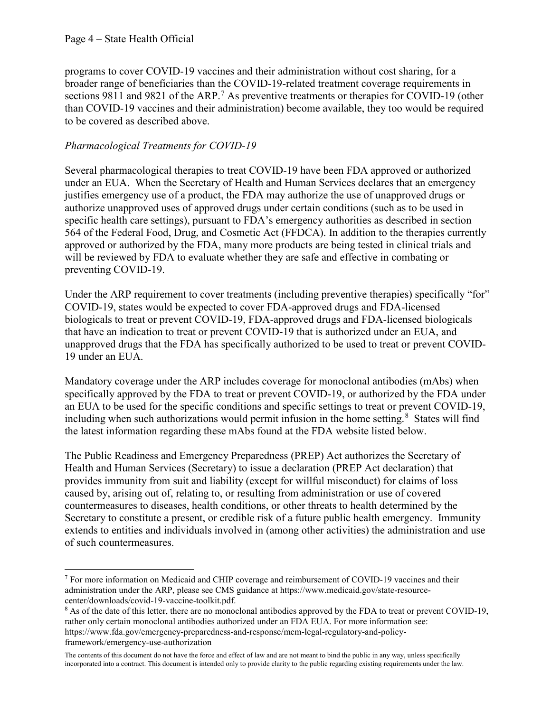l

programs to cover COVID-19 vaccines and their administration without cost sharing, for a broader range of beneficiaries than the COVID-19-related treatment coverage requirements in sections 9811 and 9821 of the ARP.<sup>[7](#page-3-0)</sup> As preventive treatments or therapies for COVID-19 (other than COVID-19 vaccines and their administration) become available, they too would be required to be covered as described above.

## *Pharmacological Treatments for COVID-19*

Several pharmacological therapies to treat COVID-19 have been FDA approved or authorized under an EUA. When the Secretary of Health and Human Services declares that an emergency justifies emergency use of a product, the FDA may authorize the use of unapproved drugs or authorize unapproved uses of approved drugs under certain conditions (such as to be used in specific health care settings), pursuant to FDA's emergency authorities as described in section 564 of the Federal Food, Drug, and Cosmetic Act (FFDCA). In addition to the therapies currently approved or authorized by the FDA, many more products are being tested in clinical trials and will be reviewed by FDA to evaluate whether they are safe and effective in combating or preventing COVID-19.

Under the ARP requirement to cover treatments (including preventive therapies) specifically "for" COVID-19, states would be expected to cover FDA-approved drugs and FDA-licensed biologicals to treat or prevent COVID-19, FDA-approved drugs and FDA-licensed biologicals that have an indication to treat or prevent COVID-19 that is authorized under an EUA, and unapproved drugs that the FDA has specifically authorized to be used to treat or prevent COVID-19 under an EUA.

Mandatory coverage under the ARP includes coverage for monoclonal antibodies (mAbs) when specifically approved by the FDA to treat or prevent COVID-19, or authorized by the FDA under an EUA to be used for the specific conditions and specific settings to treat or prevent COVID-19, including when such authorizations would permit infusion in the home setting. $8$  States will find the latest information regarding these mAbs found at the FDA website listed below.

The Public Readiness and Emergency Preparedness (PREP) Act authorizes the Secretary of Health and Human Services (Secretary) to issue a declaration (PREP Act declaration) that provides immunity from suit and liability (except for willful misconduct) for claims of loss caused by, arising out of, relating to, or resulting from administration or use of covered countermeasures to diseases, health conditions, or other threats to health determined by the Secretary to constitute a present, or credible risk of a future public health emergency. Immunity extends to entities and individuals involved in (among other activities) the administration and use of such countermeasures.

<span id="page-3-0"></span><sup>7</sup> For more information on Medicaid and CHIP coverage and reimbursement of COVID-19 vaccines and their administration under the ARP, please see CMS guidance at https://www.medicaid.gov/state-resourcecenter/downloads/covid-19-vaccine-toolkit.pdf.

<span id="page-3-1"></span><sup>&</sup>lt;sup>8</sup> As of the date of this letter, there are no monoclonal antibodies approved by the FDA to treat or prevent COVID-19, rather only certain monoclonal antibodies authorized under an FDA EUA. For more information see: https://www.fda.gov/emergency-preparedness-and-response/mcm-legal-regulatory-and-policyframework/emergency-use-authorization

The contents of this document do not have the force and effect of law and are not meant to bind the public in any way, unless specifically incorporated into a contract. This document is intended only to provide clarity to the public regarding existing requirements under the law.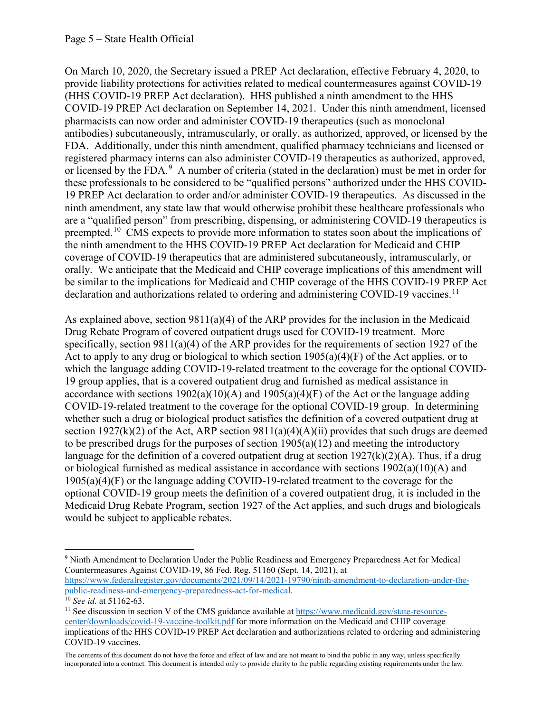On March 10, 2020, the Secretary issued a PREP Act declaration, effective February 4, 2020, to provide liability protections for activities related to medical countermeasures against COVID-19 (HHS COVID-19 PREP Act declaration). HHS published a ninth amendment to the HHS COVID-19 PREP Act declaration on September 14, 2021. Under this ninth amendment, licensed pharmacists can now order and administer COVID-19 therapeutics (such as monoclonal antibodies) subcutaneously, intramuscularly, or orally, as authorized, approved, or licensed by the FDA. Additionally, under this ninth amendment, qualified pharmacy technicians and licensed or registered pharmacy interns can also administer COVID-19 therapeutics as authorized, approved, or licensed by the FDA.<sup>[9](#page-4-0)</sup> A number of criteria (stated in the declaration) must be met in order for these professionals to be considered to be "qualified persons" authorized under the HHS COVID-19 PREP Act declaration to order and/or administer COVID-19 therapeutics. As discussed in the ninth amendment, any state law that would otherwise prohibit these healthcare professionals who are a "qualified person" from prescribing, dispensing, or administering COVID-19 therapeutics is preempted.<sup>[10](#page-4-1)</sup> CMS expects to provide more information to states soon about the implications of the ninth amendment to the HHS COVID-19 PREP Act declaration for Medicaid and CHIP coverage of COVID-19 therapeutics that are administered subcutaneously, intramuscularly, or orally. We anticipate that the Medicaid and CHIP coverage implications of this amendment will be similar to the implications for Medicaid and CHIP coverage of the HHS COVID-19 PREP Act declaration and authorizations related to ordering and administering COVID-19 vaccines.<sup>11</sup>

As explained above, section 9811(a)(4) of the ARP provides for the inclusion in the Medicaid Drug Rebate Program of covered outpatient drugs used for COVID-19 treatment. More specifically, section 9811(a)(4) of the ARP provides for the requirements of section 1927 of the Act to apply to any drug or biological to which section  $1905(a)(4)(F)$  of the Act applies, or to which the language adding COVID-19-related treatment to the coverage for the optional COVID-19 group applies, that is a covered outpatient drug and furnished as medical assistance in accordance with sections  $1902(a)(10)(A)$  and  $1905(a)(4)(F)$  of the Act or the language adding COVID-19-related treatment to the coverage for the optional COVID-19 group. In determining whether such a drug or biological product satisfies the definition of a covered outpatient drug at section 1927(k)(2) of the Act, ARP section 9811(a)(4)(A)(ii) provides that such drugs are deemed to be prescribed drugs for the purposes of section  $1905(a)(12)$  and meeting the introductory language for the definition of a covered outpatient drug at section  $1927(k)(2)(A)$ . Thus, if a drug or biological furnished as medical assistance in accordance with sections  $1902(a)(10)(A)$  and 1905(a)(4)(F) or the language adding COVID-19-related treatment to the coverage for the optional COVID-19 group meets the definition of a covered outpatient drug, it is included in the Medicaid Drug Rebate Program, section 1927 of the Act applies, and such drugs and biologicals would be subject to applicable rebates.

[public-readiness-and-emergency-preparedness-act-for-medical.](https://www.federalregister.gov/documents/2021/09/14/2021-19790/ninth-amendment-to-declaration-under-the-public-readiness-and-emergency-preparedness-act-for-medical) 10 *See id.* at 51162-63.

<span id="page-4-1"></span>

The contents of this document do not have the force and effect of law and are not meant to bind the public in any way, unless specifically incorporated into a contract. This document is intended only to provide clarity to the public regarding existing requirements under the law.

<span id="page-4-0"></span>l <sup>9</sup> Ninth Amendment to Declaration Under the Public Readiness and Emergency Preparedness Act for Medical Countermeasures Against COVID-19, 86 Fed. Reg. 51160 (Sept. 14, 2021), at [https://www.federalregister.gov/documents/2021/09/14/2021-19790/ninth-amendment-to-declaration-under-the-](https://www.federalregister.gov/documents/2021/09/14/2021-19790/ninth-amendment-to-declaration-under-the-public-readiness-and-emergency-preparedness-act-for-medical)

<span id="page-4-2"></span> $11$  See discussion in section V of the CMS guidance available at [https://www.medicaid.gov/state-resource](https://www.medicaid.gov/state-resource-center/downloads/covid-19-vaccine-toolkit.pdf)[center/downloads/covid-19-vaccine-toolkit.pdf](https://www.medicaid.gov/state-resource-center/downloads/covid-19-vaccine-toolkit.pdf) for more information on the Medicaid and CHIP coverage implications of the HHS COVID-19 PREP Act declaration and authorizations related to ordering and administering COVID-19 vaccines.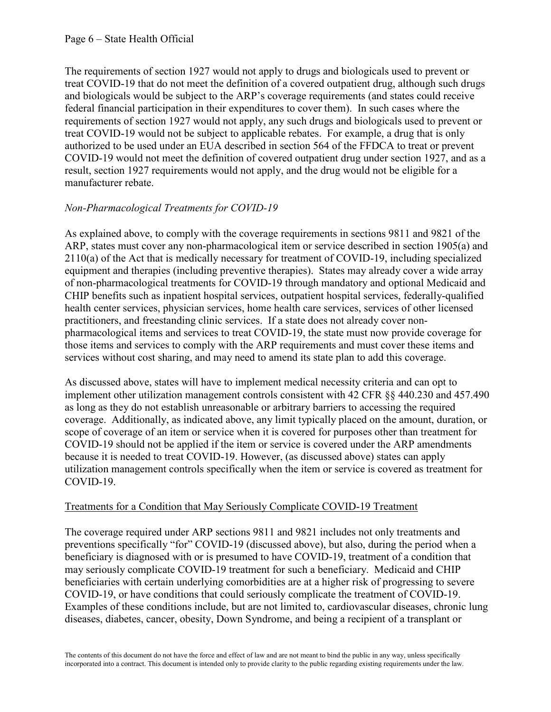The requirements of section 1927 would not apply to drugs and biologicals used to prevent or treat COVID-19 that do not meet the definition of a covered outpatient drug, although such drugs and biologicals would be subject to the ARP's coverage requirements (and states could receive federal financial participation in their expenditures to cover them). In such cases where the requirements of section 1927 would not apply, any such drugs and biologicals used to prevent or treat COVID-19 would not be subject to applicable rebates. For example, a drug that is only authorized to be used under an EUA described in section 564 of the FFDCA to treat or prevent COVID-19 would not meet the definition of covered outpatient drug under section 1927, and as a result, section 1927 requirements would not apply, and the drug would not be eligible for a manufacturer rebate.

## *Non-Pharmacological Treatments for COVID-19*

As explained above, to comply with the coverage requirements in sections 9811 and 9821 of the ARP, states must cover any non-pharmacological item or service described in section 1905(a) and 2110(a) of the Act that is medically necessary for treatment of COVID-19, including specialized equipment and therapies (including preventive therapies). States may already cover a wide array of non-pharmacological treatments for COVID-19 through mandatory and optional Medicaid and CHIP benefits such as inpatient hospital services, outpatient hospital services, federally-qualified health center services, physician services, home health care services, services of other licensed practitioners, and freestanding clinic services. If a state does not already cover nonpharmacological items and services to treat COVID-19, the state must now provide coverage for those items and services to comply with the ARP requirements and must cover these items and services without cost sharing, and may need to amend its state plan to add this coverage.

As discussed above, states will have to implement medical necessity criteria and can opt to implement other utilization management controls consistent with 42 CFR §§ 440.230 and 457.490 as long as they do not establish unreasonable or arbitrary barriers to accessing the required coverage. Additionally, as indicated above, any limit typically placed on the amount, duration, or scope of coverage of an item or service when it is covered for purposes other than treatment for COVID-19 should not be applied if the item or service is covered under the ARP amendments because it is needed to treat COVID-19. However, (as discussed above) states can apply utilization management controls specifically when the item or service is covered as treatment for COVID-19.

### Treatments for a Condition that May Seriously Complicate COVID-19 Treatment

The coverage required under ARP sections 9811 and 9821 includes not only treatments and preventions specifically "for" COVID-19 (discussed above), but also, during the period when a beneficiary is diagnosed with or is presumed to have COVID-19, treatment of a condition that may seriously complicate COVID-19 treatment for such a beneficiary. Medicaid and CHIP beneficiaries with certain underlying comorbidities are at a higher risk of progressing to severe COVID-19, or have conditions that could seriously complicate the treatment of COVID-19. Examples of these conditions include, but are not limited to, cardiovascular diseases, chronic lung diseases, diabetes, cancer, obesity, Down Syndrome, and being a recipient of a transplant or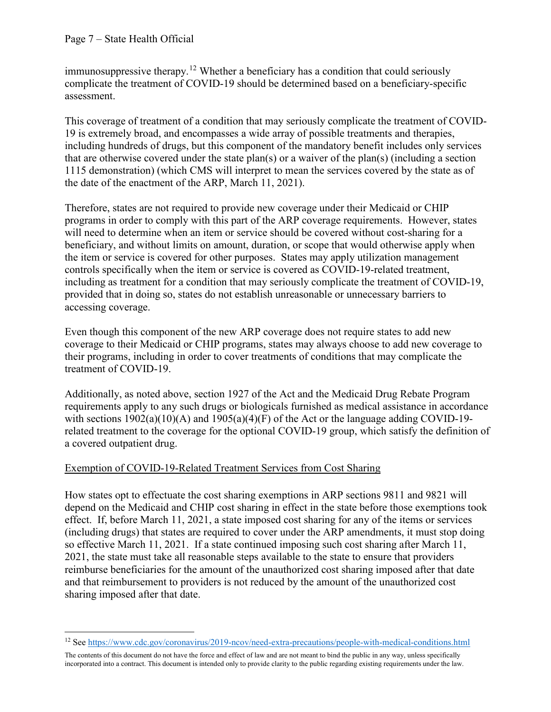l

immunosuppressive therapy.<sup>[12](#page-6-0)</sup> Whether a beneficiary has a condition that could seriously complicate the treatment of COVID-19 should be determined based on a beneficiary-specific assessment.

This coverage of treatment of a condition that may seriously complicate the treatment of COVID-19 is extremely broad, and encompasses a wide array of possible treatments and therapies, including hundreds of drugs, but this component of the mandatory benefit includes only services that are otherwise covered under the state plan(s) or a waiver of the plan(s) (including a section 1115 demonstration) (which CMS will interpret to mean the services covered by the state as of the date of the enactment of the ARP, March 11, 2021).

Therefore, states are not required to provide new coverage under their Medicaid or CHIP programs in order to comply with this part of the ARP coverage requirements. However, states will need to determine when an item or service should be covered without cost-sharing for a beneficiary, and without limits on amount, duration, or scope that would otherwise apply when the item or service is covered for other purposes. States may apply utilization management controls specifically when the item or service is covered as COVID-19-related treatment, including as treatment for a condition that may seriously complicate the treatment of COVID-19, provided that in doing so, states do not establish unreasonable or unnecessary barriers to accessing coverage.

Even though this component of the new ARP coverage does not require states to add new coverage to their Medicaid or CHIP programs, states may always choose to add new coverage to their programs, including in order to cover treatments of conditions that may complicate the treatment of COVID-19.

Additionally, as noted above, section 1927 of the Act and the Medicaid Drug Rebate Program requirements apply to any such drugs or biologicals furnished as medical assistance in accordance with sections  $1902(a)(10)(A)$  and  $1905(a)(4)(F)$  of the Act or the language adding COVID-19related treatment to the coverage for the optional COVID-19 group, which satisfy the definition of a covered outpatient drug.

### Exemption of COVID-19-Related Treatment Services from Cost Sharing

How states opt to effectuate the cost sharing exemptions in ARP sections 9811 and 9821 will depend on the Medicaid and CHIP cost sharing in effect in the state before those exemptions took effect. If, before March 11, 2021, a state imposed cost sharing for any of the items or services (including drugs) that states are required to cover under the ARP amendments, it must stop doing so effective March 11, 2021. If a state continued imposing such cost sharing after March 11, 2021, the state must take all reasonable steps available to the state to ensure that providers reimburse beneficiaries for the amount of the unauthorized cost sharing imposed after that date and that reimbursement to providers is not reduced by the amount of the unauthorized cost sharing imposed after that date.

<span id="page-6-0"></span><sup>12</sup> See <https://www.cdc.gov/coronavirus/2019-ncov/need-extra-precautions/people-with-medical-conditions.html>

The contents of this document do not have the force and effect of law and are not meant to bind the public in any way, unless specifically incorporated into a contract. This document is intended only to provide clarity to the public regarding existing requirements under the law.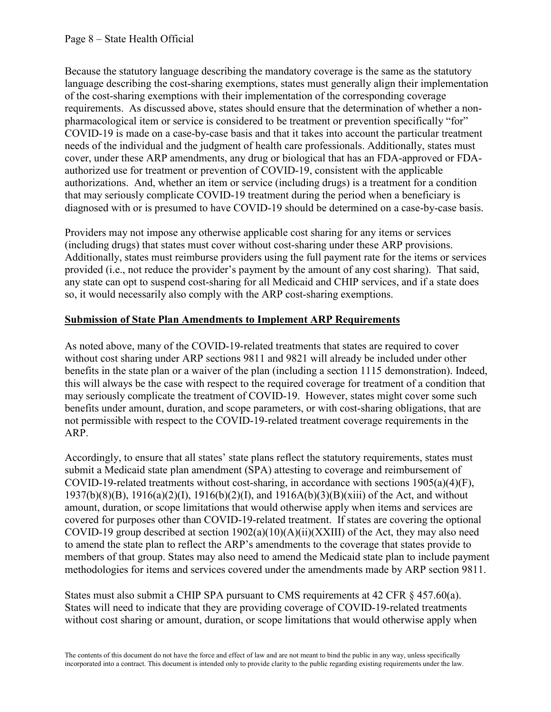Because the statutory language describing the mandatory coverage is the same as the statutory language describing the cost-sharing exemptions, states must generally align their implementation of the cost-sharing exemptions with their implementation of the corresponding coverage requirements. As discussed above, states should ensure that the determination of whether a nonpharmacological item or service is considered to be treatment or prevention specifically "for" COVID-19 is made on a case-by-case basis and that it takes into account the particular treatment needs of the individual and the judgment of health care professionals. Additionally, states must cover, under these ARP amendments, any drug or biological that has an FDA-approved or FDAauthorized use for treatment or prevention of COVID-19, consistent with the applicable authorizations. And, whether an item or service (including drugs) is a treatment for a condition that may seriously complicate COVID-19 treatment during the period when a beneficiary is diagnosed with or is presumed to have COVID-19 should be determined on a case-by-case basis.

Providers may not impose any otherwise applicable cost sharing for any items or services (including drugs) that states must cover without cost-sharing under these ARP provisions. Additionally, states must reimburse providers using the full payment rate for the items or services provided (i.e., not reduce the provider's payment by the amount of any cost sharing). That said, any state can opt to suspend cost-sharing for all Medicaid and CHIP services, and if a state does so, it would necessarily also comply with the ARP cost-sharing exemptions.

### **Submission of State Plan Amendments to Implement ARP Requirements**

As noted above, many of the COVID-19-related treatments that states are required to cover without cost sharing under ARP sections 9811 and 9821 will already be included under other benefits in the state plan or a waiver of the plan (including a section 1115 demonstration). Indeed, this will always be the case with respect to the required coverage for treatment of a condition that may seriously complicate the treatment of COVID-19. However, states might cover some such benefits under amount, duration, and scope parameters, or with cost-sharing obligations, that are not permissible with respect to the COVID-19-related treatment coverage requirements in the ARP.

Accordingly, to ensure that all states' state plans reflect the statutory requirements, states must submit a Medicaid state plan amendment (SPA) attesting to coverage and reimbursement of COVID-19-related treatments without cost-sharing, in accordance with sections  $1905(a)(4)(F)$ , 1937(b)(8)(B), 1916(a)(2)(I), 1916(b)(2)(I), and 1916A(b)(3)(B)(xiii) of the Act, and without amount, duration, or scope limitations that would otherwise apply when items and services are covered for purposes other than COVID-19-related treatment. If states are covering the optional COVID-19 group described at section 1902(a)(10)(A)(ii)(XXIII) of the Act, they may also need to amend the state plan to reflect the ARP's amendments to the coverage that states provide to members of that group. States may also need to amend the Medicaid state plan to include payment methodologies for items and services covered under the amendments made by ARP section 9811.

States must also submit a CHIP SPA pursuant to CMS requirements at 42 CFR  $\S$  457.60(a). States will need to indicate that they are providing coverage of COVID-19-related treatments without cost sharing or amount, duration, or scope limitations that would otherwise apply when